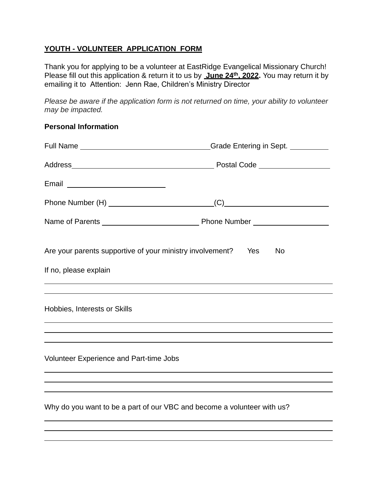#### **YOUTH - VOLUNTEER APPLICATION FORM**

Thank you for applying to be a volunteer at EastRidge Evangelical Missionary Church! Please fill out this application & return it to us by **June 24th, 2022.** You may return it by emailing it to Attention: Jenn Rae, Children's Ministry Director

*Please be aware if the application form is not returned on time, your ability to volunteer may be impacted.*

#### **Personal Information**

|                                                                                        | Grade Entering in Sept. _________                                                |
|----------------------------------------------------------------------------------------|----------------------------------------------------------------------------------|
|                                                                                        |                                                                                  |
|                                                                                        |                                                                                  |
|                                                                                        |                                                                                  |
|                                                                                        |                                                                                  |
| Are your parents supportive of your ministry involvement? Yes<br>If no, please explain | <b>No</b>                                                                        |
| Hobbies, Interests or Skills                                                           |                                                                                  |
|                                                                                        |                                                                                  |
| <b>Volunteer Experience and Part-time Jobs</b>                                         |                                                                                  |
|                                                                                        | ,我们也不会有什么。""我们的人,我们也不会有什么?""我们的人,我们也不会有什么?""我们的人,我们也不会有什么?""我们的人,我们也不会有什么?""我们的人 |
| Why do you want to be a part of our VBC and become a volunteer with us?                | ,我们也不会有什么。""我们的人,我们也不会有什么?""我们的人,我们也不会有什么?""我们的人,我们也不会有什么?""我们的人,我们也不会有什么?""我们的人 |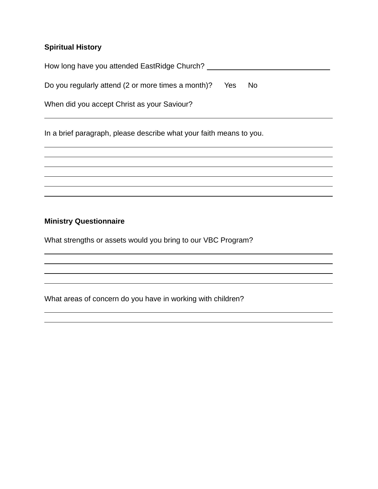## **Spiritual History**

| How long have you attended EastRidge Church? |  |
|----------------------------------------------|--|
|                                              |  |

Do you regularly attend (2 or more times a month)? Yes No

When did you accept Christ as your Saviour?

In a brief paragraph, please describe what your faith means to you.

#### **Ministry Questionnaire**

What strengths or assets would you bring to our VBC Program?

What areas of concern do you have in working with children?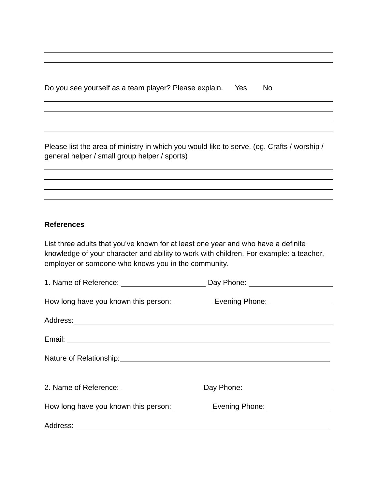|  |  | Do you see yourself as a team player? Please explain. Yes |  | No |
|--|--|-----------------------------------------------------------|--|----|

Please list the area of ministry in which you would like to serve. (eg. Crafts / worship / general helper / small group helper / sports)

#### **References**

List three adults that you've known for at least one year and who have a definite knowledge of your character and ability to work with children. For example: a teacher, employer or someone who knows you in the community.

| How long have you known this person: ____________ Evening Phone: _______________ |  |
|----------------------------------------------------------------------------------|--|
|                                                                                  |  |
|                                                                                  |  |
| Nature of Relationship: Mature of Relationship:                                  |  |
| 2. Name of Reference: _____________________________ Day Phone: _________________ |  |
|                                                                                  |  |
|                                                                                  |  |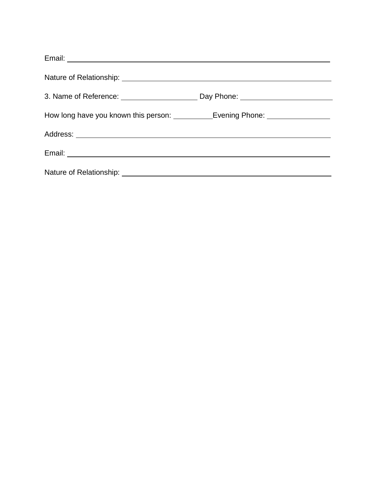| 3. Name of Reference: ___________________________________Day Phone: ________________________________ |  |
|------------------------------------------------------------------------------------------------------|--|
| How long have you known this person: _____________Evening Phone: _______________                     |  |
|                                                                                                      |  |
|                                                                                                      |  |
|                                                                                                      |  |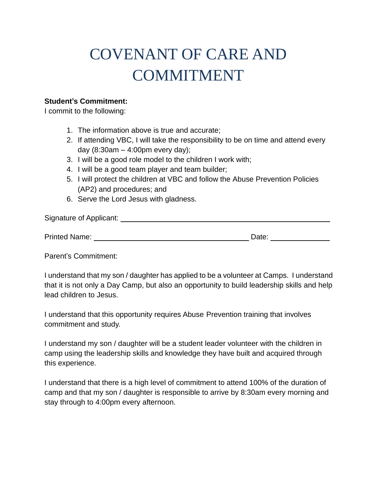# COVENANT OF CARE AND COMMITMENT

#### **Student's Commitment:**

I commit to the following:

- 1. The information above is true and accurate;
- 2. If attending VBC, I will take the responsibility to be on time and attend every day (8:30am – 4:00pm every day);
- 3. I will be a good role model to the children I work with;
- 4. I will be a good team player and team builder;
- 5. I will protect the children at VBC and follow the Abuse Prevention Policies (AP2) and procedures; and
- 6. Serve the Lord Jesus with gladness.

| Signature of Applicant: |       |  |
|-------------------------|-------|--|
|                         |       |  |
| <b>Printed Name:</b>    | Date: |  |

Parent's Commitment:

I understand that my son / daughter has applied to be a volunteer at Camps. I understand that it is not only a Day Camp, but also an opportunity to build leadership skills and help lead children to Jesus.

I understand that this opportunity requires Abuse Prevention training that involves commitment and study.

I understand my son / daughter will be a student leader volunteer with the children in camp using the leadership skills and knowledge they have built and acquired through this experience.

I understand that there is a high level of commitment to attend 100% of the duration of camp and that my son / daughter is responsible to arrive by 8:30am every morning and stay through to 4:00pm every afternoon.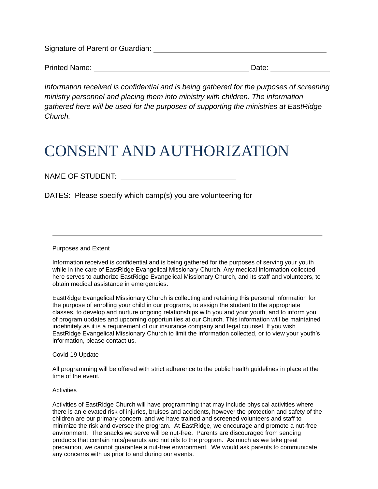Signature of Parent or Guardian:

| <b>Printed Name:</b> | Date: |  |
|----------------------|-------|--|
|                      |       |  |

*Information received is confidential and is being gathered for the purposes of screening ministry personnel and placing them into ministry with children. The information gathered here will be used for the purposes of supporting the ministries at EastRidge Church.*

# CONSENT AND AUTHORIZATION

### NAME OF STUDENT:

DATES: Please specify which camp(s) you are volunteering for

Purposes and Extent

Information received is confidential and is being gathered for the purposes of serving your youth while in the care of EastRidge Evangelical Missionary Church. Any medical information collected here serves to authorize EastRidge Evangelical Missionary Church, and its staff and volunteers, to obtain medical assistance in emergencies.

EastRidge Evangelical Missionary Church is collecting and retaining this personal information for the purpose of enrolling your child in our programs, to assign the student to the appropriate classes, to develop and nurture ongoing relationships with you and your youth, and to inform you of program updates and upcoming opportunities at our Church. This information will be maintained indefinitely as it is a requirement of our insurance company and legal counsel. If you wish EastRidge Evangelical Missionary Church to limit the information collected, or to view your youth's information, please contact us.

Covid-19 Update

All programming will be offered with strict adherence to the public health guidelines in place at the time of the event.

#### **Activities**

Activities of EastRidge Church will have programming that may include physical activities where there is an elevated risk of injuries, bruises and accidents, however the protection and safety of the children are our primary concern, and we have trained and screened volunteers and staff to minimize the risk and oversee the program. At EastRidge, we encourage and promote a nut-free environment. The snacks we serve will be nut-free. Parents are discouraged from sending products that contain nuts/peanuts and nut oils to the program. As much as we take great precaution, we cannot guarantee a nut-free environment. We would ask parents to communicate any concerns with us prior to and during our events.